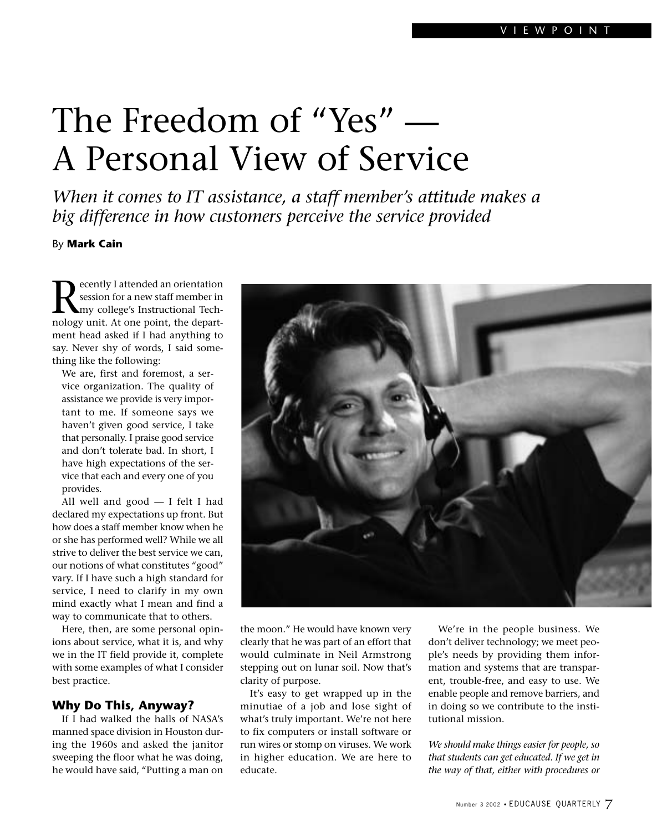# The Freedom of "Yes" — A Personal View of Service

*When it comes to IT assistance, a staff member's attitude makes a big difference in how customers perceive the service provided*

By **Mark Cain**

Recently I attended an orientation<br>session for a new staff member in<br>my college's Instructional Tech-<br>pology unit. At one point, the departsession for a new staff member in my college's Instructional Technology unit. At one point, the department head asked if I had anything to say. Never shy of words, I said something like the following:

We are, first and foremost, a service organization. The quality of assistance we provide is very important to me. If someone says we haven't given good service, I take that personally. I praise good service and don't tolerate bad. In short, I have high expectations of the service that each and every one of you provides.

All well and good — I felt I had declared my expectations up front. But how does a staff member know when he or she has performed well? While we all strive to deliver the best service we can, our notions of what constitutes "good" vary. If I have such a high standard for service, I need to clarify in my own mind exactly what I mean and find a way to communicate that to others.

Here, then, are some personal opinions about service, what it is, and why we in the IT field provide it, complete with some examples of what I consider best practice.

## **Why Do This, Anyway?**

If I had walked the halls of NASA's manned space division in Houston during the 1960s and asked the janitor sweeping the floor what he was doing, he would have said, "Putting a man on



the moon." He would have known very clearly that he was part of an effort that would culminate in Neil Armstrong stepping out on lunar soil. Now that's clarity of purpose.

It's easy to get wrapped up in the minutiae of a job and lose sight of what's truly important. We're not here to fix computers or install software or run wires or stomp on viruses. We work in higher education. We are here to educate.

We're in the people business. We don't deliver technology; we meet people's needs by providing them information and systems that are transparent, trouble-free, and easy to use. We enable people and remove barriers, and in doing so we contribute to the institutional mission.

*We should make things easier for people, so that students can get educated. If we get in the way of that, either with procedures or*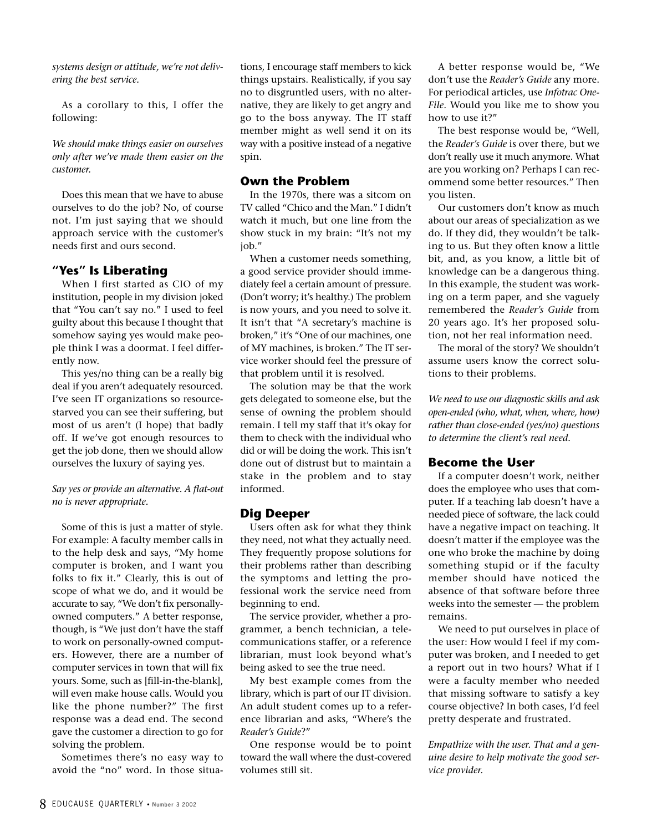*systems design or attitude, we're not delivering the best service.*

As a corollary to this, I offer the following:

*We should make things easier on ourselves only after we've made them easier on the customer.*

Does this mean that we have to abuse ourselves to do the job? No, of course not. I'm just saying that we should approach service with the customer's needs first and ours second.

#### **"Yes" Is Liberating**

When I first started as CIO of my institution, people in my division joked that "You can't say no." I used to feel guilty about this because I thought that somehow saying yes would make people think I was a doormat. I feel differently now.

This yes/no thing can be a really big deal if you aren't adequately resourced. I've seen IT organizations so resourcestarved you can see their suffering, but most of us aren't (I hope) that badly off. If we've got enough resources to get the job done, then we should allow ourselves the luxury of saying yes.

#### *Say yes or provide an alternative. A flat-out no is never appropriate.*

Some of this is just a matter of style. For example: A faculty member calls in to the help desk and says, "My home computer is broken, and I want you folks to fix it." Clearly, this is out of scope of what we do, and it would be accurate to say, "We don't fix personallyowned computers." A better response, though, is "We just don't have the staff to work on personally-owned computers. However, there are a number of computer services in town that will fix yours. Some, such as [fill-in-the-blank], will even make house calls. Would you like the phone number?" The first response was a dead end. The second gave the customer a direction to go for solving the problem.

Sometimes there's no easy way to avoid the "no" word. In those situations, I encourage staff members to kick things upstairs. Realistically, if you say no to disgruntled users, with no alternative, they are likely to get angry and go to the boss anyway. The IT staff member might as well send it on its way with a positive instead of a negative spin.

#### **Own the Problem**

In the 1970s, there was a sitcom on TV called "Chico and the Man." I didn't watch it much, but one line from the show stuck in my brain: "It's not my job."

When a customer needs something, a good service provider should immediately feel a certain amount of pressure. (Don't worry; it's healthy.) The problem is now yours, and you need to solve it. It isn't that "A secretary's machine is broken," it's "One of our machines, one of MY machines, is broken." The IT service worker should feel the pressure of that problem until it is resolved.

The solution may be that the work gets delegated to someone else, but the sense of owning the problem should remain. I tell my staff that it's okay for them to check with the individual who did or will be doing the work. This isn't done out of distrust but to maintain a stake in the problem and to stay informed.

#### **Dig Deeper**

Users often ask for what they think they need, not what they actually need. They frequently propose solutions for their problems rather than describing the symptoms and letting the professional work the service need from beginning to end.

The service provider, whether a programmer, a bench technician, a telecommunications staffer, or a reference librarian, must look beyond what's being asked to see the true need.

My best example comes from the library, which is part of our IT division. An adult student comes up to a reference librarian and asks, "Where's the *Reader's Guide*?"

One response would be to point toward the wall where the dust-covered volumes still sit.

A better response would be, "We don't use the *Reader's Guide* any more. For periodical articles, use *Infotrac One-File*. Would you like me to show you how to use it?"

The best response would be, "Well, the *Reader's Guide* is over there, but we don't really use it much anymore. What are you working on? Perhaps I can recommend some better resources." Then you listen.

Our customers don't know as much about our areas of specialization as we do. If they did, they wouldn't be talking to us. But they often know a little bit, and, as you know, a little bit of knowledge can be a dangerous thing. In this example, the student was working on a term paper, and she vaguely remembered the *Reader's Guide* from 20 years ago. It's her proposed solution, not her real information need.

The moral of the story? We shouldn't assume users know the correct solutions to their problems.

*We need to use our diagnostic skills and ask open-ended (who, what, when, where, how) rather than close-ended (yes/no) questions to determine the client's real need.*

#### **Become the User**

If a computer doesn't work, neither does the employee who uses that computer. If a teaching lab doesn't have a needed piece of software, the lack could have a negative impact on teaching. It doesn't matter if the employee was the one who broke the machine by doing something stupid or if the faculty member should have noticed the absence of that software before three weeks into the semester — the problem remains.

We need to put ourselves in place of the user: How would I feel if my computer was broken, and I needed to get a report out in two hours? What if I were a faculty member who needed that missing software to satisfy a key course objective? In both cases, I'd feel pretty desperate and frustrated.

*Empathize with the user. That and a genuine desire to help motivate the good service provider.*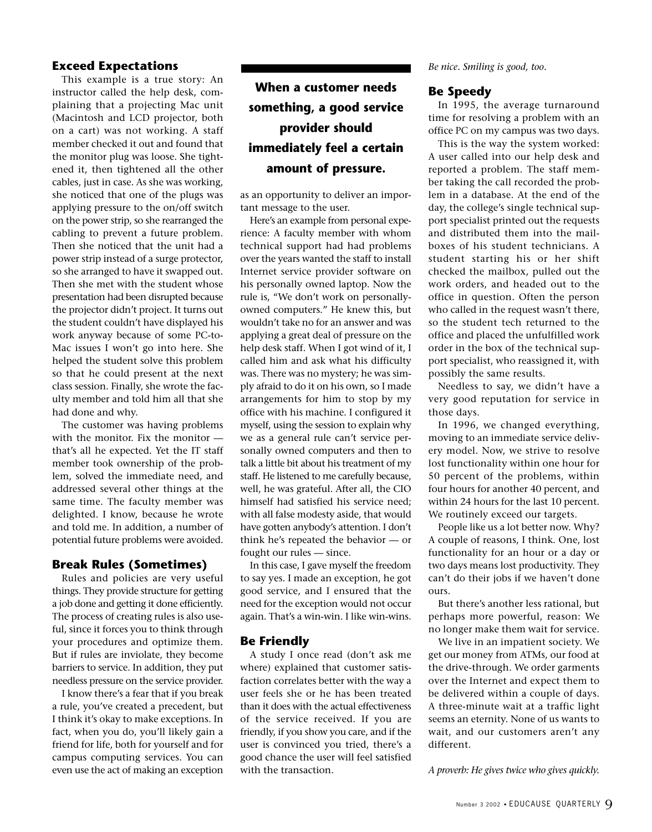## **Exceed Expectations**

This example is a true story: An instructor called the help desk, complaining that a projecting Mac unit (Macintosh and LCD projector, both on a cart) was not working. A staff member checked it out and found that the monitor plug was loose. She tightened it, then tightened all the other cables, just in case. As she was working, she noticed that one of the plugs was applying pressure to the on/off switch on the power strip, so she rearranged the cabling to prevent a future problem. Then she noticed that the unit had a power strip instead of a surge protector, so she arranged to have it swapped out. Then she met with the student whose presentation had been disrupted because the projector didn't project. It turns out the student couldn't have displayed his work anyway because of some PC-to-Mac issues I won't go into here. She helped the student solve this problem so that he could present at the next class session. Finally, she wrote the faculty member and told him all that she had done and why.

The customer was having problems with the monitor. Fix the monitor that's all he expected. Yet the IT staff member took ownership of the problem, solved the immediate need, and addressed several other things at the same time. The faculty member was delighted. I know, because he wrote and told me. In addition, a number of potential future problems were avoided.

# **Break Rules (Sometimes)**

Rules and policies are very useful things. They provide structure for getting a job done and getting it done efficiently. The process of creating rules is also useful, since it forces you to think through your procedures and optimize them. But if rules are inviolate, they become barriers to service. In addition, they put needless pressure on the service provider.

I know there's a fear that if you break a rule, you've created a precedent, but I think it's okay to make exceptions. In fact, when you do, you'll likely gain a friend for life, both for yourself and for campus computing services. You can even use the act of making an exception

# **When a customer needs something, a good service provider should immediately feel a certain amount of pressure.**

as an opportunity to deliver an important message to the user.

Here's an example from personal experience: A faculty member with whom technical support had had problems over the years wanted the staff to install Internet service provider software on his personally owned laptop. Now the rule is, "We don't work on personallyowned computers." He knew this, but wouldn't take no for an answer and was applying a great deal of pressure on the help desk staff. When I got wind of it, I called him and ask what his difficulty was. There was no mystery; he was simply afraid to do it on his own, so I made arrangements for him to stop by my office with his machine. I configured it myself, using the session to explain why we as a general rule can't service personally owned computers and then to talk a little bit about his treatment of my staff. He listened to me carefully because, well, he was grateful. After all, the CIO himself had satisfied his service need; with all false modesty aside, that would have gotten anybody's attention. I don't think he's repeated the behavior — or fought our rules — since.

In this case, I gave myself the freedom to say yes. I made an exception, he got good service, and I ensured that the need for the exception would not occur again. That's a win-win. I like win-wins.

# **Be Friendly**

A study I once read (don't ask me where) explained that customer satisfaction correlates better with the way a user feels she or he has been treated than it does with the actual effectiveness of the service received. If you are friendly, if you show you care, and if the user is convinced you tried, there's a good chance the user will feel satisfied with the transaction.

*Be nice. Smiling is good, too.*

#### **Be Speedy**

In 1995, the average turnaround time for resolving a problem with an office PC on my campus was two days.

This is the way the system worked: A user called into our help desk and reported a problem. The staff member taking the call recorded the problem in a database. At the end of the day, the college's single technical support specialist printed out the requests and distributed them into the mailboxes of his student technicians. A student starting his or her shift checked the mailbox, pulled out the work orders, and headed out to the office in question. Often the person who called in the request wasn't there, so the student tech returned to the office and placed the unfulfilled work order in the box of the technical support specialist, who reassigned it, with possibly the same results.

Needless to say, we didn't have a very good reputation for service in those days.

In 1996, we changed everything, moving to an immediate service delivery model. Now, we strive to resolve lost functionality within one hour for 50 percent of the problems, within four hours for another 40 percent, and within 24 hours for the last 10 percent. We routinely exceed our targets.

People like us a lot better now. Why? A couple of reasons, I think. One, lost functionality for an hour or a day or two days means lost productivity. They can't do their jobs if we haven't done ours.

But there's another less rational, but perhaps more powerful, reason: We no longer make them wait for service.

We live in an impatient society. We get our money from ATMs, our food at the drive-through. We order garments over the Internet and expect them to be delivered within a couple of days. A three-minute wait at a traffic light seems an eternity. None of us wants to wait, and our customers aren't any different.

*A proverb: He gives twice who gives quickly.*